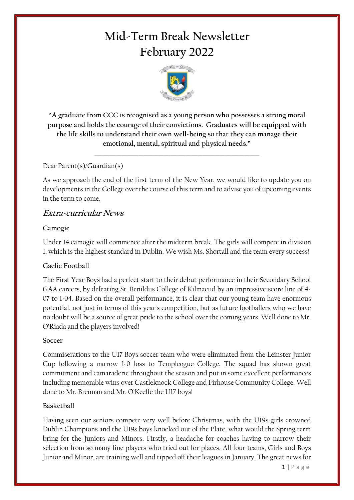# **Mid-Term Break Newsletter February 2022**



**"A graduate from CCC is recognised as a young person who possesses a strong moral purpose and holds the courage of their convictions.  Graduates will be equipped with the life skills to understand their own well-being so that they can manage their emotional, mental, spiritual and physical needs."**

\_\_\_\_\_\_\_\_\_\_\_\_\_\_\_\_\_\_\_\_\_\_\_\_\_\_\_\_\_\_\_\_\_\_\_\_\_\_\_\_\_\_\_\_\_\_\_\_\_\_\_\_\_\_\_\_\_\_\_\_\_\_\_\_\_\_\_

## Dear Parent(s)/Guardian(s)

As we approach the end of the first term of the New Year, we would like to update you on developments in the College over the course of this term and to advise you of upcoming events in the term to come.

# **Extra-curricular News**

#### **Camogie**

Under 14 camogie will commence after the midterm break. The girls will compete in division 1, which is the highest standard in Dublin. We wish Ms. Shortall and the team every success!

# **Gaelic Football**

The First Year Boys had a perfect start to their debut performance in their Secondary School GAA careers, by defeating St. Benildus College of Kilmacud by an impressive score line of 4- 07 to 1-04. Based on the overall performance, it is clear that our young team have enormous potential, not just in terms of this year's competition, but as future footballers who we have no doubt will be a source of great pride to the school over the coming years. Well done to Mr. O'Riada and the players involved!

#### **Soccer**

Commiserations to the U17 Boys soccer team who were eliminated from the Leinster Junior Cup following a narrow 1-0 loss to Templeogue College. The squad has shown great commitment and camaraderie throughout the season and put in some excellent performances including memorable wins over Castleknock College and Firhouse Community College. Well done to Mr. Brennan and Mr. O'Keeffe the U17 boys!

#### **Basketball**

Having seen our seniors compete very well before Christmas, with the U19s girls crowned Dublin Champions and the U19s boys knocked out of the Plate, what would the Spring term bring for the Juniors and Minors. Firstly, a headache for coaches having to narrow their selection from so many fine players who tried out for places. All four teams, Girls and Boys Junior and Minor, are training well and tipped off their leagues in January. The great news for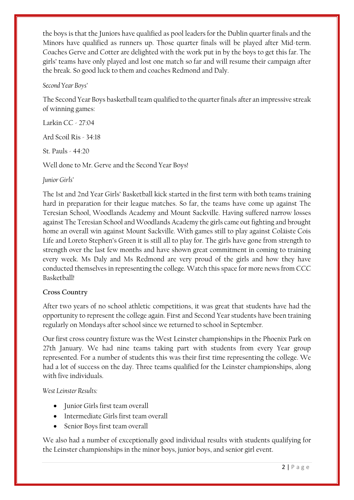the boys is that the Juniors have qualified as pool leaders for the Dublin quarter finals and the Minors have qualified as runners up. Those quarter finals will be played after Mid-term. Coaches Gerve and Cotter are delighted with the work put in by the boys to get this far. The girls' teams have only played and lost one match so far and will resume their campaign after the break. So good luck to them and coaches Redmond and Daly.

#### *Second Year Boys'*

The Second Year Boys basketball team qualified to the quarter finals after an impressive streak of winning games:

Larkin CC - 27:04

Ard Scoil Ris - 34:18

St. Pauls - 44:20

Well done to Mr. Gerve and the Second Year Boys!

*Junior Girls'* 

The 1st and 2nd Year Girls' Basketball kick started in the first term with both teams training hard in preparation for their league matches. So far, the teams have come up against The Teresian School, Woodlands Academy and Mount Sackville. Having suffered narrow losses against The Teresian School and Woodlands Academy the girls came out fighting and brought home an overall win against Mount Sackville. With games still to play against Coláiste Cois Life and Loreto Stephen's Green it is still all to play for. The girls have gone from strength to strength over the last few months and have shown great commitment in coming to training every week. Ms Daly and Ms Redmond are very proud of the girls and how they have conducted themselves in representing the college. Watch this space for more news from CCC Basketball!

#### **Cross Country**

After two years of no school athletic competitions, it was great that students have had the opportunity to represent the college again. First and Second Year students have been training regularly on Mondays after school since we returned to school in September.

Our first cross country fixture was the West Leinster championships in the Phoenix Park on 27th January. We had nine teams taking part with students from every Year group represented. For a number of students this was their first time representing the college. We had a lot of success on the day. Three teams qualified for the Leinster championships, along with five individuals.

*West Leinster Results:*

- Junior Girls first team overall
- Intermediate Girls first team overall
- Senior Boys first team overall

We also had a number of exceptionally good individual results with students qualifying for the Leinster championships in the minor boys, junior boys, and senior girl event.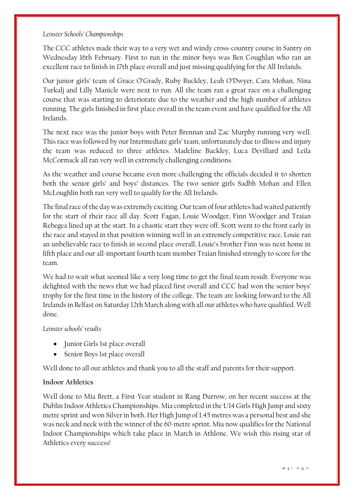#### *Leinster Schools' Championships*

The CCC athletes made their way to a very wet and windy cross-country course in Santry on Wednesday 16th February. First to run in the minor boys was Ben Coughlan who ran an excellent race to finish in 17th place overall and just missing qualifying for the All Irelands.

Our junior girls' team of Grace O'Grady, Ruby Buckley, Leah O'Dwyer, Cara Mohan, Nina Turkalj and Lilly Manicle were next to run. All the team ran a great race on a challenging course that was starting to deteriorate due to the weather and the high number of athletes running. The girls finished in first place overall in the team event and have qualified for the All Irelands.

The next race was the junior boys with Peter Brennan and Zac Murphy running very well. Thisrace was followed by our Intermediate girls' team, unfortunately due to illness and injury the team was reduced to three athletes. Madeline Buckley, Luca Devillard and Leila McCormack all ran very well in extremely challenging conditions.

As the weather and course became even more challenging the officials decided it to shorten both the senior girls' and boys' distances. The two senior girls Sadbh Mohan and Ellen McLoughlin both ran very well to qualify for the All Irelands.

The final race of the day was extremely exciting. Our team of four athletes had waited patiently for the start of their race all day. Scott Fagan, Louie Woodger, Finn Woodger and Traian Rebegea lined up at the start. In a chaotic start they were off. Scott went to the front early in the race and stayed in that position winning well in an extremely competitive race, Louie ran an unbelievable race to finish in second place overall, Louie's brother Finn was next home in fifth place and our all-important fourth team member Traian finished strongly to score for the team.

We had to wait what seemed like a very long time to get the final team result. Everyone was delighted with the news that we had placed first overall and CCC had won the senior boys' trophy for the first time in the history of the college. The team are looking forward to the All Irelands in Belfast on Saturday 12th March along with all our athletes who have qualified. Well done.

#### *Leinster schools' results*

- Junior Girls 1st place overall
- Senior Boys 1st place overall

Well done to all our athletes and thank you to all the staff and parents for their support.

#### **Indoor Athletics**

Well done to Mia Brett, a First-Year student in Rang Durrow, on her recent success at the Dublin Indoor Athletics Championships. Mia completed in the U14 Girls High Jump and sixty metre sprint and won Silver in both. Her High Jump of 1.45 metres was a personal best and she was neck and neck with the winner of the 60-metre sprint. Mia now qualifies for the National Indoor Championships which take place in March in Athlone. We wish this rising star of Athletics every success!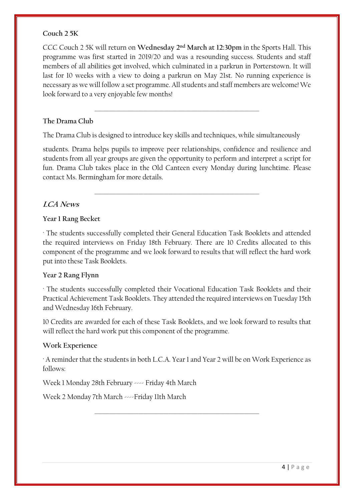#### **Couch 2 5K**

CCC Couch 2 5K will return on **Wednesday 2nd March at 12:30pm** in the Sports Hall. This programme was first started in 2019/20 and was a resounding success. Students and staff members of all abilities got involved, which culminated in a parkrun in Porterstown. It will last for 10 weeks with a view to doing a parkrun on May 21st. No running experience is necessary as we will follow a set programme. All students and staff members are welcome! We look forward to a very enjoyable few months!

\_\_\_\_\_\_\_\_\_\_\_\_\_\_\_\_\_\_\_\_\_\_\_\_\_\_\_\_\_\_\_\_\_\_\_\_\_\_\_\_\_\_\_\_\_\_\_\_\_\_\_\_\_\_\_\_\_\_\_\_\_\_\_\_\_\_\_

#### **The Drama Club**

The Drama Club is designed to introduce key skills and techniques, while simultaneously

students. Drama helps pupils to improve peer relationships, confidence and resilience and students from all year groups are given the opportunity to perform and interpret a script for fun. Drama Club takes place in the Old Canteen every Monday during lunchtime. Please contact Ms. Bermingham for more details.

\_\_\_\_\_\_\_\_\_\_\_\_\_\_\_\_\_\_\_\_\_\_\_\_\_\_\_\_\_\_\_\_\_\_\_\_\_\_\_\_\_\_\_\_\_\_\_\_\_\_\_\_\_\_\_\_\_\_\_\_\_\_\_\_\_\_\_

## **LCA News**

## **Year 1 Rang Becket**

· The students successfully completed their General Education Task Booklets and attended the required interviews on Friday 18th February. There are 10 Credits allocated to this component of the programme and we look forward to results that will reflect the hard work put into these Task Booklets.

#### **Year 2 Rang Flynn**

· The students successfully completed their Vocational Education Task Booklets and their Practical Achievement Task Booklets. They attended the required interviews on Tuesday 15th and Wednesday 16th February.

10 Credits are awarded for each of these Task Booklets, and we look forward to results that will reflect the hard work put this component of the programme.

#### **Work Experience**

· A reminder that the students in both L.C.A. Year 1 and Year 2 will be on Work Experience as follows:

\_\_\_\_\_\_\_\_\_\_\_\_\_\_\_\_\_\_\_\_\_\_\_\_\_\_\_\_\_\_\_\_\_\_\_\_\_\_\_\_\_\_\_\_\_\_\_\_\_\_\_\_\_\_\_\_\_\_\_\_\_\_\_\_\_\_\_

Week 1 Monday 28th February ---- Friday 4th March

Week 2 Monday 7th March ----Friday 11th March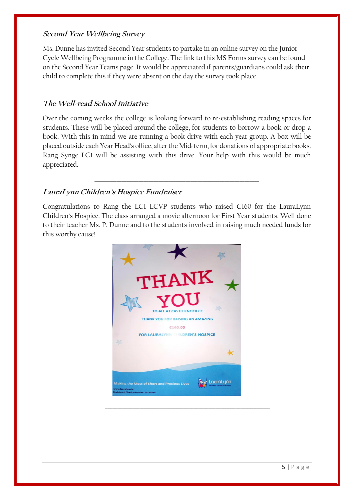#### **Second Year Wellbeing Survey**

Ms. Dunne has invited Second Year students to partake in an online survey on the Junior Cycle Wellbeing Programme in the College. The link to this MS Forms survey can be found on the Second Year Teams page. It would be appreciated if parents/guardians could ask their child to complete this if they were absent on the day the survey took place.

\_\_\_\_\_\_\_\_\_\_\_\_\_\_\_\_\_\_\_\_\_\_\_\_\_\_\_\_\_\_\_\_\_\_\_\_\_\_\_\_\_\_\_\_\_\_\_\_\_\_\_\_\_\_\_\_\_\_\_\_\_\_\_\_\_\_\_

# **The Well-read School Initiative**

Over the coming weeks the college is looking forward to re-establishing reading spaces for students. These will be placed around the college, for students to borrow a book or drop a book. With this in mind we are running a book drive with each year group. A box will be placed outside each Year Head's office, after the Mid-term, for donations of appropriate books. Rang Synge LC1 will be assisting with this drive. Your help with this would be much appreciated.

\_\_\_\_\_\_\_\_\_\_\_\_\_\_\_\_\_\_\_\_\_\_\_\_\_\_\_\_\_\_\_\_\_\_\_\_\_\_\_\_\_\_\_\_\_\_\_\_\_\_\_\_\_\_\_\_\_\_\_\_\_\_\_\_\_\_\_

# **LauraLynn Children's Hospice Fundraiser**

Congratulations to Rang the LC1 LCVP students who raised  $\in$ 160 for the LauraLynn Children's Hospice. The class arranged a movie afternoon for First Year students. Well done to their teacher Ms. P. Dunne and to the students involved in raising much needed funds for this worthy cause!

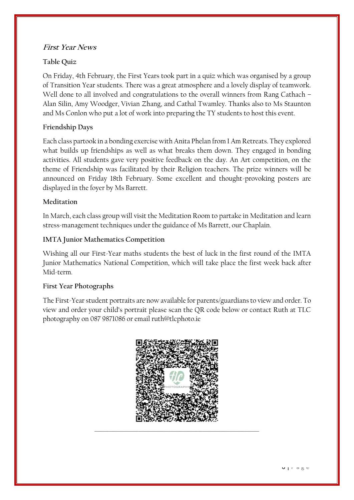# **First Year News**

# **Table Quiz**

On Friday, 4th February, the First Years took part in a quiz which was organised by a group of Transition Year students. There was a great atmosphere and a lovely display of teamwork. Well done to all involved and congratulations to the overall winners from Rang Cathach – Alan Silin, Amy Woodger, Vivian Zhang, and Cathal Twamley. Thanks also to Ms Staunton and Ms Conlon who put a lot of work into preparing the TY students to host this event.

# **Friendship Days**

Each class partook in a bonding exercise with Anita Phelan from I Am Retreats. They explored what builds up friendships as well as what breaks them down. They engaged in bonding activities. All students gave very positive feedback on the day. An Art competition, on the theme of Friendship was facilitated by their Religion teachers. The prize winners will be announced on Friday 18th February. Some excellent and thought-provoking posters are displayed in the foyer by Ms Barrett.

## **Meditation**

In March, each class group will visit the Meditation Room to partake in Meditation and learn stress-management techniques under the guidance of Ms Barrett, our Chaplain.

# **IMTA Junior Mathematics Competition**

Wishing all our First-Year maths students the best of luck in the first round of the IMTA Junior Mathematics National Competition, which will take place the first week back after Mid-term.

#### **First Year Photographs**

The First-Year student portraits are now available for parents/guardians to view and order. To view and order your child's portrait please scan the QR code below or contact Ruth at TLC photography on 087 9871086 or email ruth@tlcphoto.ie

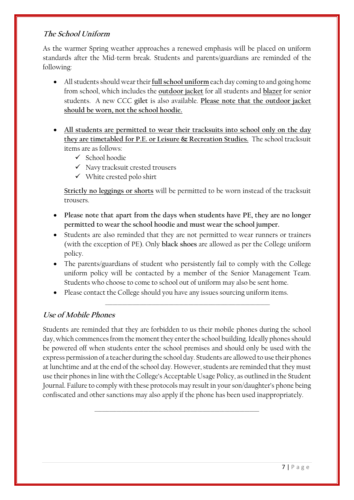# **The School Uniform**

As the warmer Spring weather approaches a renewed emphasis will be placed on uniform standards after the Mid-term break. Students and parents/guardians are reminded of the following:

- All students should wear their **full school uniform** each day coming to and going home from school, which includes the **outdoor jacket** for all students and **blazer** for senior students. A new CCC **gilet** is also available. **Please note that the outdoor jacket should be worn, not the school hoodie.**
- **All students are permitted to wear their tracksuits into school only on the day they are timetabled for P.E. or Leisure & Recreation Studies.** The school tracksuit items are as follows:
	- ✓ School hoodie
	- ✓ Navy tracksuit crested trousers
	- ✓ White crested polo shirt

**Strictly no leggings or shorts** will be permitted to be worn instead of the tracksuit trousers.

- **Please note that apart from the days when students have PE, they are no longer permitted to wear the school hoodie and must wear the school jumper.**
- Students are also reminded that they are not permitted to wear runners or trainers (with the exception of PE). Only **black shoes** are allowed as per the College uniform policy.
- The parents/guardians of student who persistently fail to comply with the College uniform policy will be contacted by a member of the Senior Management Team. Students who choose to come to school out of uniform may also be sent home.

\_\_\_\_\_\_\_\_\_\_\_\_\_\_\_\_\_\_\_\_\_\_\_\_\_\_\_\_\_\_\_\_\_\_\_\_\_\_\_\_\_\_\_\_\_\_\_\_\_\_\_\_\_\_\_\_\_\_\_\_\_\_\_\_\_\_\_

• Please contact the College should you have any issues sourcing uniform items.

# **Use of Mobile Phones**

Students are reminded that they are forbidden to us their mobile phones during the school day, which commences from the moment they enter the school building. Ideally phones should be powered off when students enter the school premises and should only be used with the express permission of a teacher during the school day. Students are allowed to use their phones at lunchtime and at the end of the school day. However, students are reminded that they must use their phones in line with the College's Acceptable Usage Policy, as outlined in the Student Journal. Failure to comply with these protocols may result in your son/daughter's phone being confiscated and other sanctions may also apply if the phone has been used inappropriately.

\_\_\_\_\_\_\_\_\_\_\_\_\_\_\_\_\_\_\_\_\_\_\_\_\_\_\_\_\_\_\_\_\_\_\_\_\_\_\_\_\_\_\_\_\_\_\_\_\_\_\_\_\_\_\_\_\_\_\_\_\_\_\_\_\_\_\_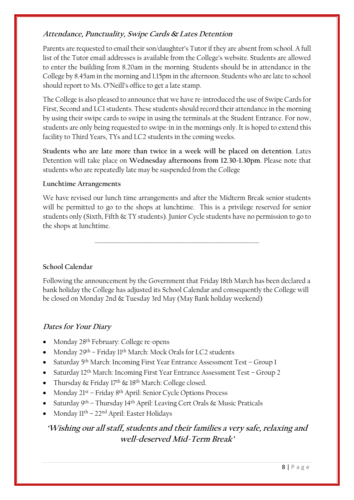# **Attendance, Punctuality, Swipe Cards & Lates Detention**

Parents are requested to email their son/daughter's Tutor if they are absent from school. A full list of the Tutor email addresses is available from the College's website. Students are allowed to enter the building from 8.20am in the morning. Students should be in attendance in the College by 8.45am in the morning and 1.15pm in the afternoon. Students who are late to school should report to Ms. O'Neill's office to get a late stamp.

The College is also pleased to announce that we have re-introduced the use of Swipe Cards for First, Second and LC1 students. These students should record their attendance in the morning by using their swipe cards to swipe in using the terminals at the Student Entrance. For now, students are only being requested to swipe-in in the mornings only. It is hoped to extend this facility to Third Years, TYs and LC2 students in the coming weeks.

**Students who are late more than twice in a week will be placed on detention**. Lates Detention will take place on **Wednesday afternoons from 12.30-1.30pm**. Please note that students who are repeatedly late may be suspended from the College

# **Lunchtime Arrangements**

We have revised our lunch time arrangements and after the Midterm Break senior students will be permitted to go to the shops at lunchtime. This is a privilege reserved for senior students only (Sixth, Fifth & TY students). Junior Cycle students have no permission to go to the shops at lunchtime.

\_\_\_\_\_\_\_\_\_\_\_\_\_\_\_\_\_\_\_\_\_\_\_\_\_\_\_\_\_\_\_\_\_\_\_\_\_\_\_\_\_\_\_\_\_\_\_\_\_\_\_\_\_\_\_\_\_\_\_\_\_\_\_\_\_\_\_

**School Calendar**

Following the announcement by the Government that Friday 18th March has been declared a bank holiday the College has adjusted its School Calendar and consequently the College will be closed on Monday 2nd & Tuesday 3rd May (May Bank holiday weekend)

# **Dates for Your Diary**

- Monday 28<sup>th</sup> February: College re-opens
- Monday 29<sup>th</sup> Friday 11<sup>th</sup> March: Mock Orals for LC2 students
- Saturday 5<sup>th</sup> March: Incoming First Year Entrance Assessment Test Group 1
- Saturday 12<sup>th</sup> March: Incoming First Year Entrance Assessment Test Group 2
- Thursday  $\&$  Friday 17<sup>th</sup>  $\&$  18<sup>th</sup> March: College closed.
- Monday 21st Friday 8th April: Senior Cycle Options Process
- Saturday 9<sup>th</sup> Thursday 14<sup>th</sup> April: Leaving Cert Orals & Music Praticals
- Monday  $11^{th}$   $22^{nd}$  April: Easter Holidays

# **'Wishing our all staff, students and their families a very safe, relaxing and well-deserved Mid-Term Break'**